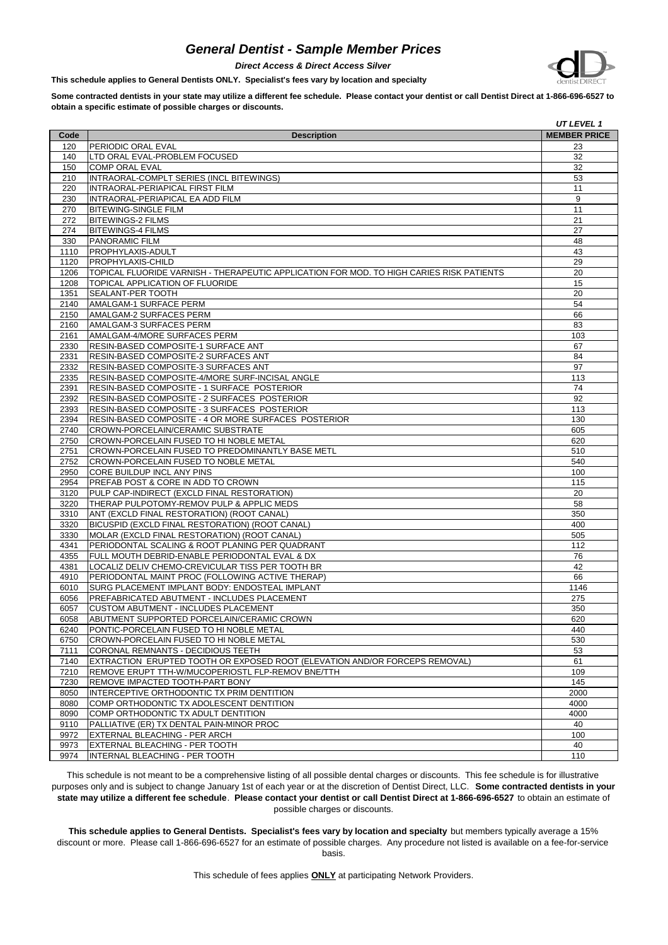## *General Dentist - Sample Member Prices*



*Direct Access & Direct Access Silver*

**This schedule applies to General Dentists ONLY. Specialist's fees vary by location and specialty**

**Some contracted dentists in your state may utilize a different fee schedule. Please contact your dentist or call Dentist Direct at 1-866-696-6527 to obtain a specific estimate of possible charges or discounts.**

|      |                                                                                          | UT LEVEL 1          |
|------|------------------------------------------------------------------------------------------|---------------------|
| Code | <b>Description</b>                                                                       | <b>MEMBER PRICE</b> |
| 120  | PERIODIC ORAL EVAL                                                                       | 23                  |
| 140  | LTD ORAL EVAL-PROBLEM FOCUSED                                                            | 32                  |
| 150  | COMP ORAL EVAL                                                                           | 32                  |
| 210  | INTRAORAL-COMPLT SERIES (INCL BITEWINGS)                                                 | 53                  |
| 220  | INTRAORAL-PERIAPICAL FIRST FILM                                                          | 11                  |
| 230  | INTRAORAL-PERIAPICAL EA ADD FILM                                                         | 9                   |
| 270  | <b>BITEWING-SINGLE FILM</b>                                                              | 11                  |
|      |                                                                                          |                     |
| 272  | <b>BITEWINGS-2 FILMS</b>                                                                 | 21                  |
| 274  | <b>BITEWINGS-4 FILMS</b>                                                                 | 27                  |
| 330  | <b>PANORAMIC FILM</b>                                                                    | 48                  |
| 1110 | <b>PROPHYLAXIS-ADULT</b>                                                                 | 43                  |
| 1120 | PROPHYLAXIS-CHILD                                                                        | 29                  |
| 1206 | TOPICAL FLUORIDE VARNISH - THERAPEUTIC APPLICATION FOR MOD. TO HIGH CARIES RISK PATIENTS | 20                  |
| 1208 | TOPICAL APPLICATION OF FLUORIDE                                                          | 15                  |
| 1351 | SEALANT-PER TOOTH                                                                        | 20                  |
| 2140 | AMALGAM-1 SURFACE PERM                                                                   | 54                  |
| 2150 | AMALGAM-2 SURFACES PERM                                                                  | 66                  |
| 2160 | AMALGAM-3 SURFACES PERM                                                                  | 83                  |
| 2161 | AMALGAM-4/MORE SURFACES PERM                                                             | 103                 |
| 2330 | <b>RESIN-BASED COMPOSITE-1 SURFACE ANT</b>                                               | 67                  |
| 2331 | RESIN-BASED COMPOSITE-2 SURFACES ANT                                                     | 84                  |
| 2332 | <b>RESIN-BASED COMPOSITE-3 SURFACES ANT</b>                                              | 97                  |
| 2335 | RESIN-BASED COMPOSITE-4/MORE SURF-INCISAL ANGLE                                          | 113                 |
| 2391 | RESIN-BASED COMPOSITE - 1 SURFACE POSTERIOR                                              | 74                  |
| 2392 | RESIN-BASED COMPOSITE - 2 SURFACES POSTERIOR                                             | 92                  |
| 2393 | RESIN-BASED COMPOSITE - 3 SURFACES POSTERIOR                                             | 113                 |
| 2394 | RESIN-BASED COMPOSITE - 4 OR MORE SURFACES POSTERIOR                                     | 130                 |
| 2740 | CROWN-PORCELAIN/CERAMIC SUBSTRATE                                                        | 605                 |
| 2750 | CROWN-PORCELAIN FUSED TO HI NOBLE METAL                                                  | 620                 |
| 2751 | CROWN-PORCELAIN FUSED TO PREDOMINANTLY BASE METL                                         | 510                 |
| 2752 | CROWN-PORCELAIN FUSED TO NOBLE METAL                                                     | 540                 |
| 2950 | CORE BUILDUP INCL ANY PINS                                                               | 100                 |
| 2954 | PREFAB POST & CORE IN ADD TO CROWN                                                       | 115                 |
| 3120 | PULP CAP-INDIRECT (EXCLD FINAL RESTORATION)                                              | 20                  |
| 3220 | THERAP PULPOTOMY-REMOV PULP & APPLIC MEDS                                                | 58                  |
|      |                                                                                          |                     |
| 3310 | ANT (EXCLD FINAL RESTORATION) (ROOT CANAL)                                               | 350                 |
| 3320 | BICUSPID (EXCLD FINAL RESTORATION) (ROOT CANAL)                                          | 400                 |
| 3330 | MOLAR (EXCLD FINAL RESTORATION) (ROOT CANAL)                                             | 505                 |
| 4341 | PERIODONTAL SCALING & ROOT PLANING PER QUADRANT                                          | 112                 |
| 4355 | FULL MOUTH DEBRID-ENABLE PERIODONTAL EVAL & DX                                           | 76                  |
| 4381 | LOCALIZ DELIV CHEMO-CREVICULAR TISS PER TOOTH BR                                         | 42                  |
| 4910 | PERIODONTAL MAINT PROC (FOLLOWING ACTIVE THERAP)                                         | 66                  |
| 6010 | SURG PLACEMENT IMPLANT BODY: ENDOSTEAL IMPLANT                                           | 1146                |
| 6056 | PREFABRICATED ABUTMENT - INCLUDES PLACEMENT                                              | 275                 |
| 6057 | CUSTOM ABUTMENT - INCLUDES PLACEMENT                                                     | 350                 |
| 6058 | ABUTMENT SUPPORTED PORCELAIN/CERAMIC CROWN                                               | 620                 |
| 6240 | PONTIC-PORCELAIN FUSED TO HI NOBLE METAL                                                 | 440                 |
| 6750 | CROWN-PORCELAIN FUSED TO HI NOBLE METAL                                                  | 530                 |
| 7111 | CORONAL REMNANTS - DECIDIOUS TEETH                                                       | 53                  |
| 7140 | EXTRACTION ERUPTED TOOTH OR EXPOSED ROOT (ELEVATION AND/OR FORCEPS REMOVAL)              | 61                  |
| 7210 | REMOVE ERUPT TTH-W/MUCOPERIOSTL FLP-REMOV BNE/TTH                                        | 109                 |
| 7230 | REMOVE IMPACTED TOOTH-PART BONY                                                          | 145                 |
| 8050 | INTERCEPTIVE ORTHODONTIC TX PRIM DENTITION                                               | 2000                |
| 8080 | COMP ORTHODONTIC TX ADOLESCENT DENTITION                                                 | 4000                |
| 8090 | COMP ORTHODONTIC TX ADULT DENTITION                                                      | 4000                |
| 9110 | PALLIATIVE (ER) TX DENTAL PAIN-MINOR PROC                                                | 40                  |
| 9972 | EXTERNAL BLEACHING - PER ARCH                                                            | 100                 |
| 9973 | EXTERNAL BLEACHING - PER TOOTH                                                           | 40                  |
| 9974 | IINTERNAL BLEACHING - PER TOOTH                                                          | 110                 |
|      |                                                                                          |                     |

This schedule is not meant to be a comprehensive listing of all possible dental charges or discounts. This fee schedule is for illustrative purposes only and is subject to change January 1st of each year or at the discretion of Dentist Direct, LLC. **Some contracted dentists in your state may utilize a different fee schedule**. **Please contact your dentist or call Dentist Direct at 1-866-696-6527** to obtain an estimate of possible charges or discounts.

**This schedule applies to General Dentists. Specialist's fees vary by location and specialty** but members typically average a 15% discount or more. Please call 1-866-696-6527 for an estimate of possible charges. Any procedure not listed is available on a fee-for-service basis.